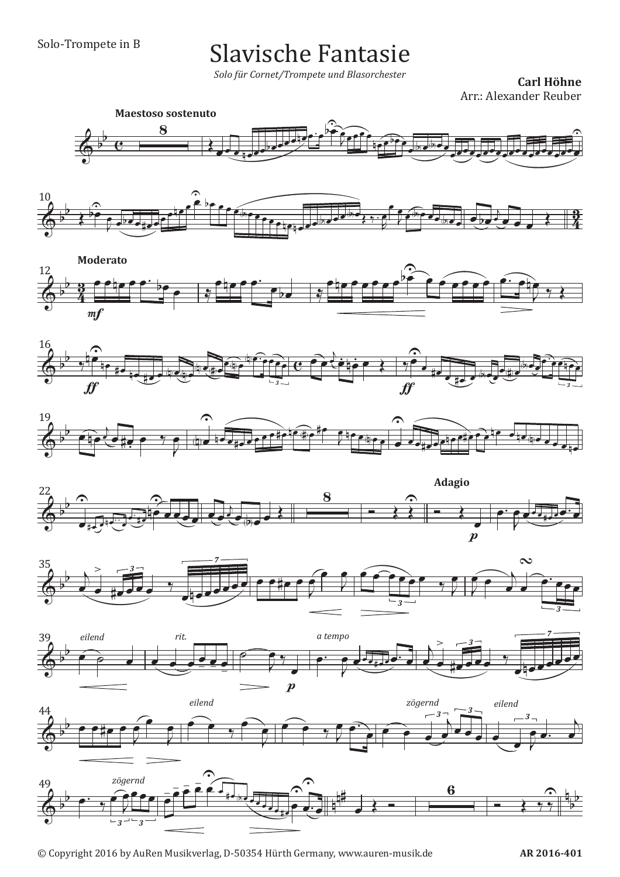# Slavische Fantasie

Solo für Cornet/Trompete und Blasorchester

**Carl Höhne** Arr.: Alexander Reuber

















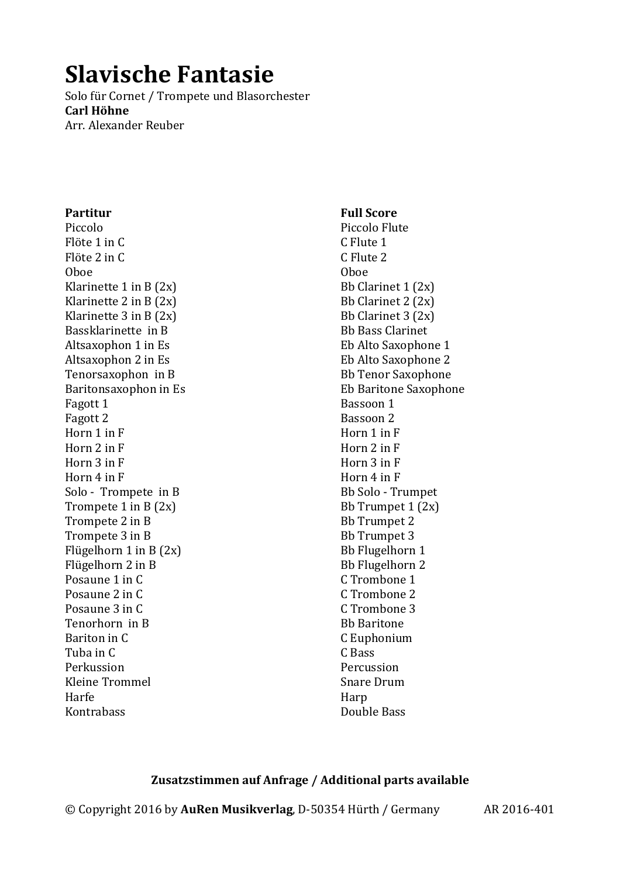# **Slavische Fantasie**

Solo für Cornet / Trompete und Blasorchester **Carl Höhne**  Arr. Alexander Reuber

### **Partitur Full Score**

Piccolo Piccolo Flute Flöte 1 in C C Flute 1 Flöte 2 in C C Flute 2 Oboe Oboe Klarinette 1 in B  $(2x)$  Bb Clarinet 1  $(2x)$ Klarinette 2 in B  $(2x)$  Bb Clarinet 2  $(2x)$ Klarinette 3 in B  $(2x)$  Bb Clarinet 3  $(2x)$ Bassklarinette in B Bb Bass Clarinet Altsaxophon 1 in Es Eb Alto Saxophone 1 Altsaxophon 2 in Es Eb Alto Saxophone 2 Tenorsaxophon in B Bb Tenor Saxophone Baritonsaxophon in Es **Eb Baritone Saxophone** Fagott 1 Bassoon 1 Fagott 2 Bassoon 2 Horn 1 in F Horn 1 in F Horn 2 in F Horn 2 in F Horn 3 in F Horn 3 in F Horn 4 in F Horn 4 in F Solo - Trompete in B<br>Bb Solo - Trumpet Trompete 1 in B  $(2x)$  Bb Trumpet 1  $(2x)$ Trompete 2 in B Bb Trumpet 2 Trompete 3 in B Bb Trumpet 3 Flügelhorn 1 in B $(2x)$  Bb Flugelhorn 1 Flügelhorn 2 in B<br>Bb Flugelhorn 2 Posaune 1 in C C Trombone 1 Posaune 2 in C C Trombone 2 Posaune 3 in C C Trombone 3 Tenorhorn in B<br>Bb Baritone Bariton in C **Euphonium** Tuba in C Perkussion Percussion Kleine Trommel Snare Drum Harfe Harp Kontrabass Double Bass

### **Zusatzstimmen auf Anfrage / Additional parts available**

© Copyright 2016 by **AuRen Musikverlag**, D-50354 Hürth / Germany AR 2016-401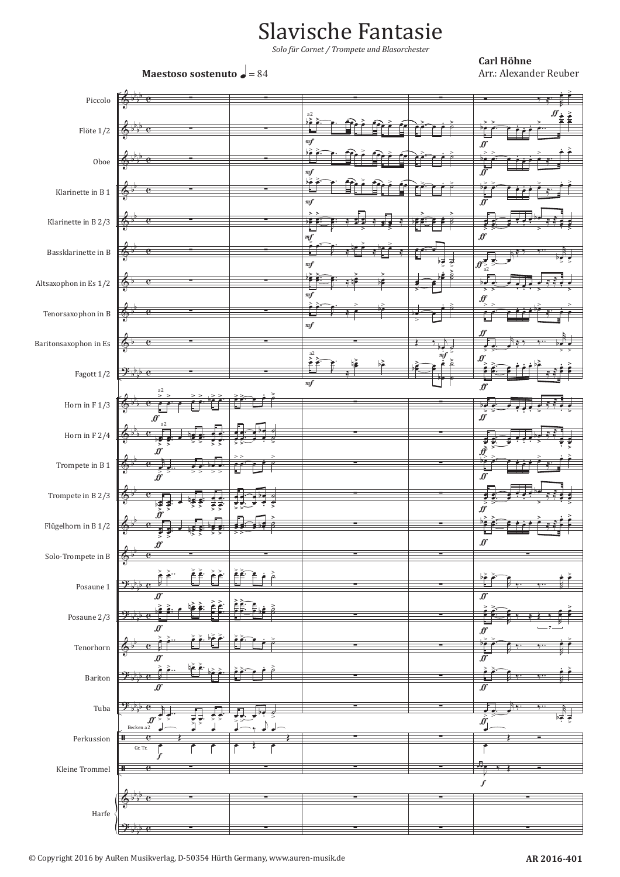## Slavische Fantasie

Solo für Cornet / Trompete und Blasorchester

Maestoso sostenuto  $\frac{1}{2} = 84$ 

**Carl Höhne** Arr.: Alexander Reuber

| $\mathop{\text{\rm Piccolo}}$ |                                                                       |                       |             |                                    |
|-------------------------------|-----------------------------------------------------------------------|-----------------------|-------------|------------------------------------|
|                               |                                                                       | $a^2$                 |             |                                    |
| Flöte $1/2$                   |                                                                       | m f                   |             |                                    |
| Oboe                          |                                                                       |                       |             |                                    |
|                               |                                                                       | $\it mf$<br>$b^>$     |             |                                    |
| Klarinette in B1              |                                                                       | $m\!f$                |             |                                    |
| Klarinette in B 2/3           |                                                                       | $55 -$                |             |                                    |
| Bassklarinette in B           |                                                                       | m f                   |             | f f                                |
|                               |                                                                       | m f<br>$\geq$         | Σđ<br>ਵ     |                                    |
| Altsaxophon in Es 1/2         | ∲                                                                     | m f                   |             | ∬                                  |
| Tenorsaxophon in $\rm{B}$     | ⋒                                                                     |                       |             |                                    |
|                               |                                                                       | $\it mf$              |             |                                    |
| Baritonsaxophon in Es         | ⊕                                                                     | $\sum_{n=1}^{\infty}$ | $\dot{m}$ f |                                    |
| Fagott 1/2                    |                                                                       | $m\!f$                |             |                                    |
| Horn in F $1/3$               | a <sub>2</sub>                                                        |                       |             | ff                                 |
|                               | a <sub>2</sub>                                                        |                       |             |                                    |
| Horn in F $2/4$               |                                                                       |                       |             |                                    |
| Trompete in B $1\,$           | €                                                                     |                       |             |                                    |
|                               |                                                                       |                       |             |                                    |
| Trompete in B 2/3             | 23                                                                    |                       |             | ſf                                 |
| Flügelhorn in B 1/2           |                                                                       |                       |             |                                    |
| Solo-Trompete in $\rm{B}$     | f f<br>6                                                              |                       |             | $f\hspace{-0.1cm}f$                |
|                               | ÈÈ.                                                                   |                       |             |                                    |
| Posaune 1                     | ∬                                                                     |                       |             | f f                                |
| Posaune 2/3                   |                                                                       |                       |             |                                    |
| Tenorhorn                     | ∯                                                                     |                       |             | ∬                                  |
|                               |                                                                       |                       |             |                                    |
| $\mbox{\texttt{Bariton}}$     | $f\hspace{-0.1cm}f$                                                   |                       |             | $f\hspace{-0.1cm}f$                |
| Tuba                          |                                                                       |                       |             |                                    |
|                               | ∬<br>Becken a2                                                        |                       |             | ゖ<br>$\overline{\mathbf{\hat{y}}}$ |
| Perkussion                    | ╫<br>$\operatorname{Gr}$ Tr.                                          |                       |             | ۴                                  |
| Kleine Trommel                | ╫                                                                     |                       |             | ⋥                                  |
|                               |                                                                       |                       |             | $\boldsymbol{f}$                   |
| Harfe                         |                                                                       |                       |             |                                    |
|                               | $\rightarrow$ $\rightarrow$ $\rightarrow$ $\rightarrow$ $\rightarrow$ |                       |             |                                    |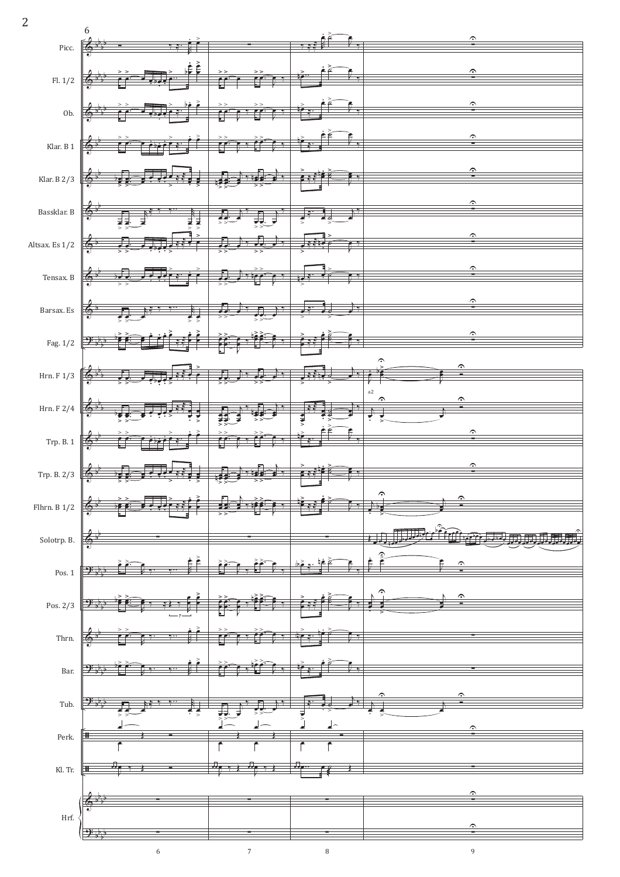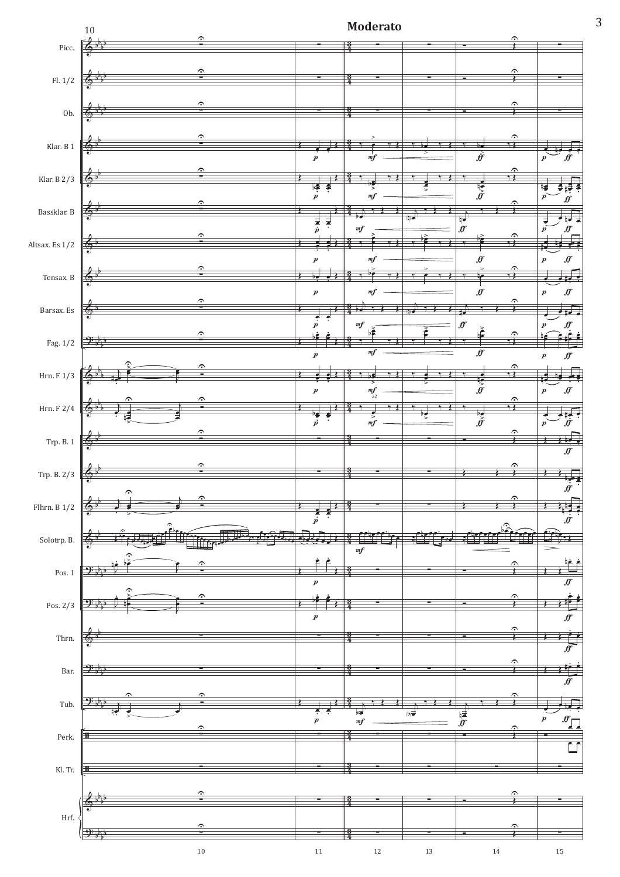

 $\overline{3}$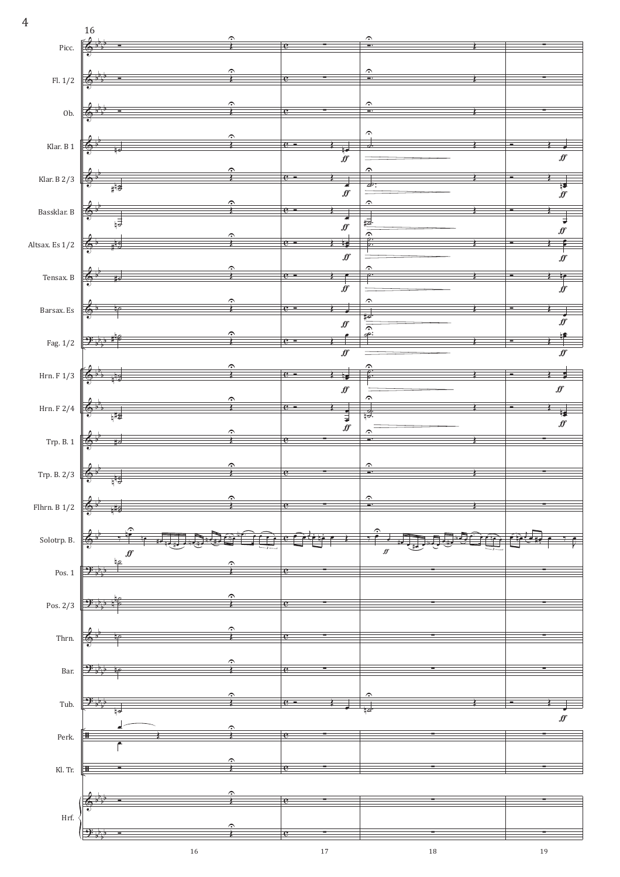

 $\overline{4}$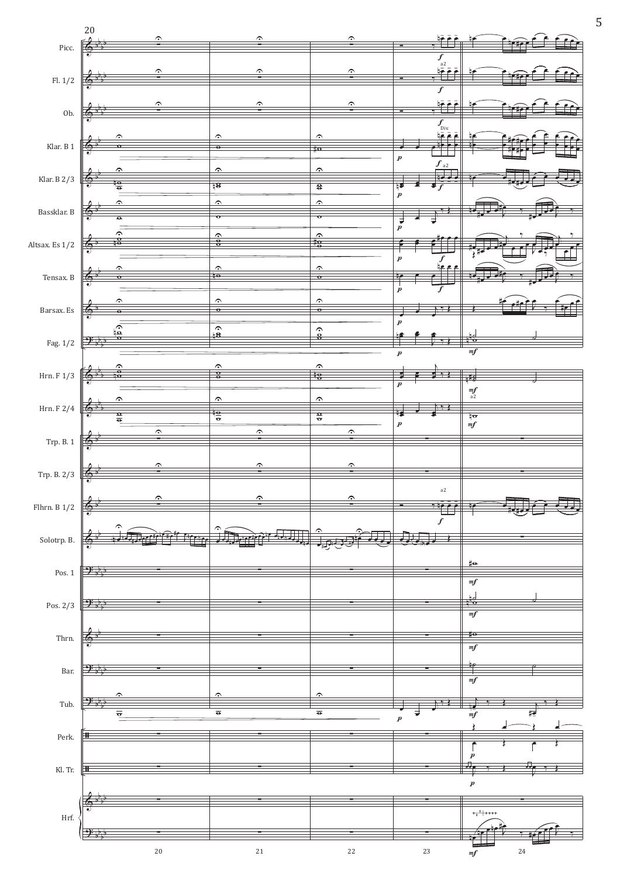

 $\overline{5}$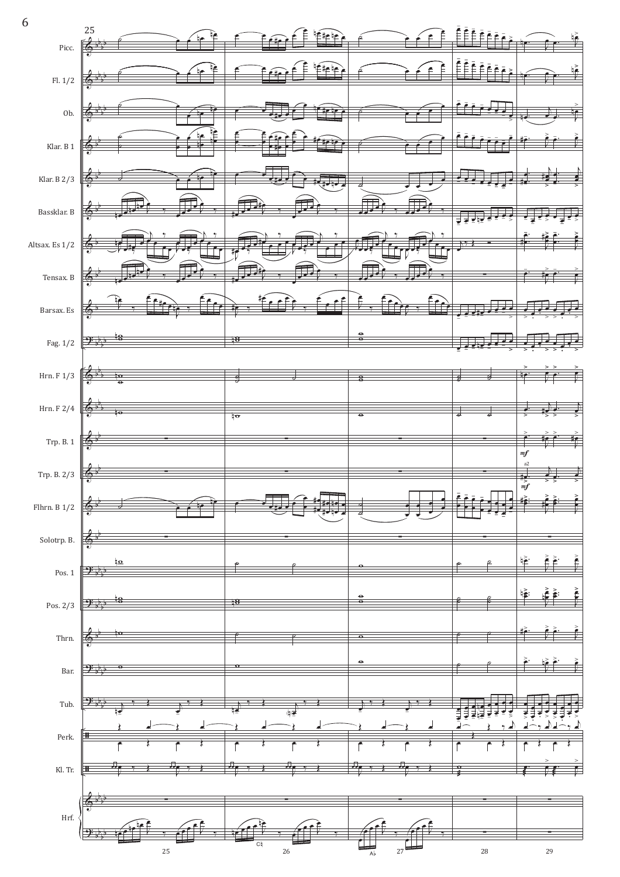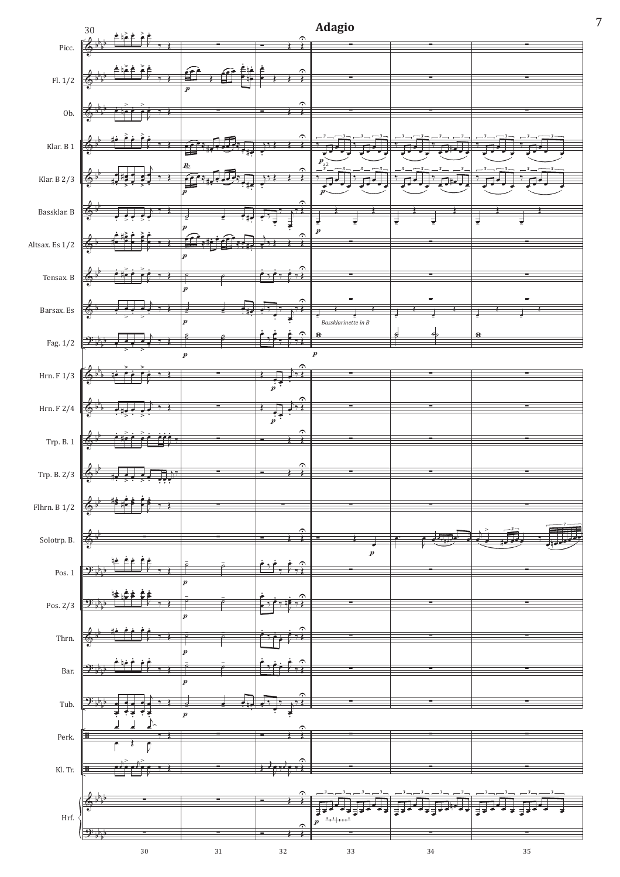

 $\overline{7}$